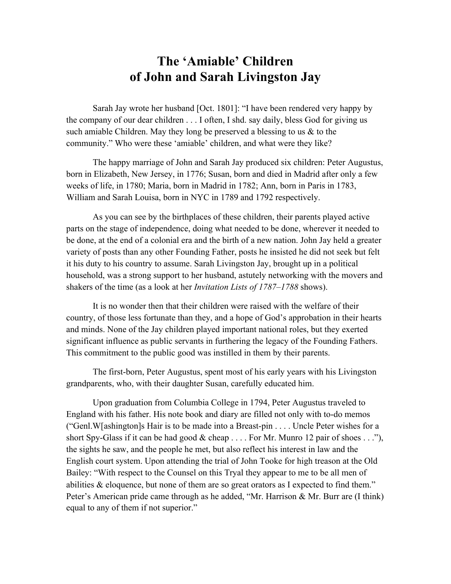## The 'Amiable' Children of John and Sarah Livingston Jay

Sarah Jay wrote her husband [Oct. 1801]: "I have been rendered very happy by the company of our dear children . . . I often, I shd. say daily, bless God for giving us such amiable Children. May they long be preserved a blessing to us  $\&$  to the community." Who were these 'amiable' children, and what were they like?

The happy marriage of John and Sarah Jay produced six children: Peter Augustus, born in Elizabeth, New Jersey, in 1776; Susan, born and died in Madrid after only a few weeks of life, in 1780; Maria, born in Madrid in 1782; Ann, born in Paris in 1783, William and Sarah Louisa, born in NYC in 1789 and 1792 respectively.

As you can see by the birthplaces of these children, their parents played active parts on the stage of independence, doing what needed to be done, wherever it needed to be done, at the end of a colonial era and the birth of a new nation. John Jay held a greater variety of posts than any other Founding Father, posts he insisted he did not seek but felt it his duty to his country to assume. Sarah Livingston Jay, brought up in a political household, was a strong support to her husband, astutely networking with the movers and shakers of the time (as a look at her *Invitation Lists of 1787–1788* shows).

It is no wonder then that their children were raised with the welfare of their country, of those less fortunate than they, and a hope of God's approbation in their hearts and minds. None of the Jay children played important national roles, but they exerted significant influence as public servants in furthering the legacy of the Founding Fathers. This commitment to the public good was instilled in them by their parents.

The first-born, Peter Augustus, spent most of his early years with his Livingston grandparents, who, with their daughter Susan, carefully educated him.

Upon graduation from Columbia College in 1794, Peter Augustus traveled to England with his father. His note book and diary are filled not only with to-do memos ("Genl.W[ashington]s Hair is to be made into a Breast-pin . . . . Uncle Peter wishes for a short Spy-Glass if it can be had good  $\&$  cheap . . . . For Mr. Munro 12 pair of shoes . . ."), the sights he saw, and the people he met, but also reflect his interest in law and the English court system. Upon attending the trial of John Tooke for high treason at the Old Bailey: "With respect to the Counsel on this Tryal they appear to me to be all men of abilities & eloquence, but none of them are so great orators as I expected to find them." Peter's American pride came through as he added, "Mr. Harrison & Mr. Burr are (I think) equal to any of them if not superior."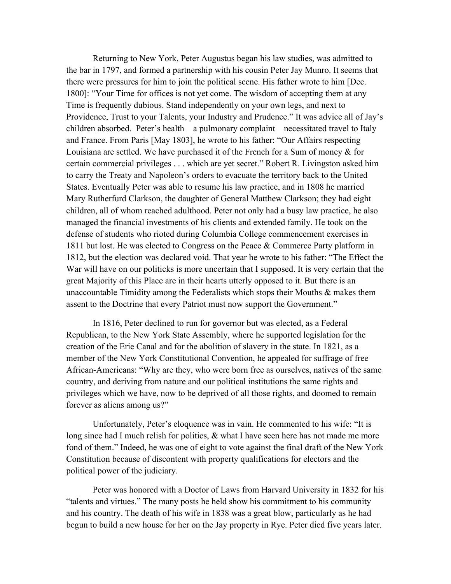Returning to New York, Peter Augustus began his law studies, was admitted to the bar in 1797, and formed a partnership with his cousin Peter Jay Munro. It seems that there were pressures for him to join the political scene. His father wrote to him [Dec. 1800]: "Your Time for offices is not yet come. The wisdom of accepting them at any Time is frequently dubious. Stand independently on your own legs, and next to Providence, Trust to your Talents, your Industry and Prudence." It was advice all of Jay's children absorbed. Peter's health—a pulmonary complaint—necessitated travel to Italy and France. From Paris [May 1803], he wrote to his father: "Our Affairs respecting Louisiana are settled. We have purchased it of the French for a Sum of money & for certain commercial privileges . . . which are yet secret." Robert R. Livingston asked him to carry the Treaty and Napoleon's orders to evacuate the territory back to the United States. Eventually Peter was able to resume his law practice, and in 1808 he married Mary Rutherfurd Clarkson, the daughter of General Matthew Clarkson; they had eight children, all of whom reached adulthood. Peter not only had a busy law practice, he also managed the financial investments of his clients and extended family. He took on the defense of students who rioted during Columbia College commencement exercises in 1811 but lost. He was elected to Congress on the Peace & Commerce Party platform in 1812, but the election was declared void. That year he wrote to his father: "The Effect the War will have on our politicks is more uncertain that I supposed. It is very certain that the great Majority of this Place are in their hearts utterly opposed to it. But there is an unaccountable Timidity among the Federalists which stops their Mouths  $\&$  makes them assent to the Doctrine that every Patriot must now support the Government."

In 1816, Peter declined to run for governor but was elected, as a Federal Republican, to the New York State Assembly, where he supported legislation for the creation of the Erie Canal and for the abolition of slavery in the state. In 1821, as a member of the New York Constitutional Convention, he appealed for suffrage of free African-Americans: "Why are they, who were born free as ourselves, natives of the same country, and deriving from nature and our political institutions the same rights and privileges which we have, now to be deprived of all those rights, and doomed to remain forever as aliens among us?"

Unfortunately, Peter's eloquence was in vain. He commented to his wife: "It is long since had I much relish for politics,  $\&$  what I have seen here has not made me more fond of them." Indeed, he was one of eight to vote against the final draft of the New York Constitution because of discontent with property qualifications for electors and the political power of the judiciary.

Peter was honored with a Doctor of Laws from Harvard University in 1832 for his "talents and virtues." The many posts he held show his commitment to his community and his country. The death of his wife in 1838 was a great blow, particularly as he had begun to build a new house for her on the Jay property in Rye. Peter died five years later.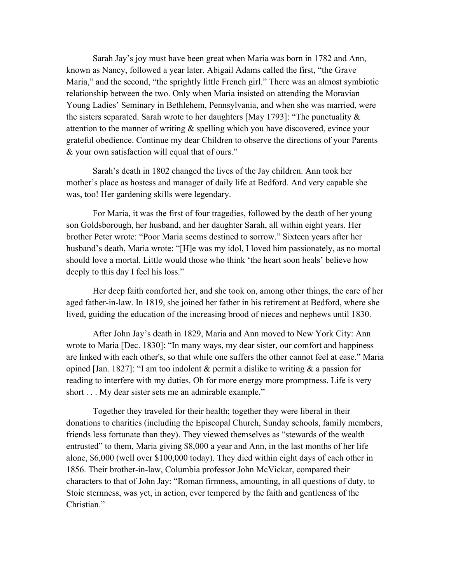Sarah Jay's joy must have been great when Maria was born in 1782 and Ann, known as Nancy, followed a year later. Abigail Adams called the first, "the Grave Maria," and the second, "the sprightly little French girl." There was an almost symbiotic relationship between the two. Only when Maria insisted on attending the Moravian Young Ladies' Seminary in Bethlehem, Pennsylvania, and when she was married, were the sisters separated. Sarah wrote to her daughters [May 1793]: "The punctuality  $\&$ attention to the manner of writing & spelling which you have discovered, evince your grateful obedience. Continue my dear Children to observe the directions of your Parents & your own satisfaction will equal that of ours."

Sarah's death in 1802 changed the lives of the Jay children. Ann took her mother's place as hostess and manager of daily life at Bedford. And very capable she was, too! Her gardening skills were legendary.

For Maria, it was the first of four tragedies, followed by the death of her young son Goldsborough, her husband, and her daughter Sarah, all within eight years. Her brother Peter wrote: "Poor Maria seems destined to sorrow." Sixteen years after her husband's death, Maria wrote: "[H]e was my idol, I loved him passionately, as no mortal should love a mortal. Little would those who think 'the heart soon heals' believe how deeply to this day I feel his loss."

Her deep faith comforted her, and she took on, among other things, the care of her aged father-in-law. In 1819, she joined her father in his retirement at Bedford, where she lived, guiding the education of the increasing brood of nieces and nephews until 1830.

After John Jay's death in 1829, Maria and Ann moved to New York City: Ann wrote to Maria [Dec. 1830]: "In many ways, my dear sister, our comfort and happiness are linked with each other's, so that while one suffers the other cannot feel at ease." Maria opined [Jan. 1827]: "I am too indolent  $\&$  permit a dislike to writing  $\&$  a passion for reading to interfere with my duties. Oh for more energy more promptness. Life is very short . . . My dear sister sets me an admirable example."

Together they traveled for their health; together they were liberal in their donations to charities (including the Episcopal Church, Sunday schools, family members, friends less fortunate than they). They viewed themselves as "stewards of the wealth entrusted" to them, Maria giving \$8,000 a year and Ann, in the last months of her life alone, \$6,000 (well over \$100,000 today). They died within eight days of each other in 1856. Their brother-in-law, Columbia professor John McVickar, compared their characters to that of John Jay: "Roman firmness, amounting, in all questions of duty, to Stoic sternness, was yet, in action, ever tempered by the faith and gentleness of the Christian<sup>"</sup>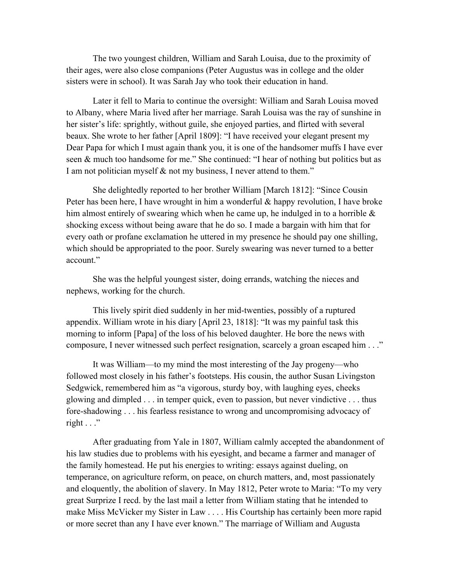The two youngest children, William and Sarah Louisa, due to the proximity of their ages, were also close companions (Peter Augustus was in college and the older sisters were in school). It was Sarah Jay who took their education in hand.

Later it fell to Maria to continue the oversight: William and Sarah Louisa moved to Albany, where Maria lived after her marriage. Sarah Louisa was the ray of sunshine in her sister's life: sprightly, without guile, she enjoyed parties, and flirted with several beaux. She wrote to her father [April 1809]: "I have received your elegant present my Dear Papa for which I must again thank you, it is one of the handsomer muffs I have ever seen & much too handsome for me." She continued: "I hear of nothing but politics but as I am not politician myself & not my business, I never attend to them."

She delightedly reported to her brother William [March 1812]: "Since Cousin Peter has been here, I have wrought in him a wonderful & happy revolution, I have broke him almost entirely of swearing which when he came up, he indulged in to a horrible  $\&$ shocking excess without being aware that he do so. I made a bargain with him that for every oath or profane exclamation he uttered in my presence he should pay one shilling, which should be appropriated to the poor. Surely swearing was never turned to a better account."

She was the helpful youngest sister, doing errands, watching the nieces and nephews, working for the church.

This lively spirit died suddenly in her mid-twenties, possibly of a ruptured appendix. William wrote in his diary [April 23, 1818]: "It was my painful task this morning to inform [Papa] of the loss of his beloved daughter. He bore the news with composure, I never witnessed such perfect resignation, scarcely a groan escaped him . . ."

It was William—to my mind the most interesting of the Jay progeny—who followed most closely in his father's footsteps. His cousin, the author Susan Livingston Sedgwick, remembered him as "a vigorous, sturdy boy, with laughing eyes, cheeks glowing and dimpled . . . in temper quick, even to passion, but never vindictive . . . thus fore-shadowing . . . his fearless resistance to wrong and uncompromising advocacy of right  $\ldots$ "

After graduating from Yale in 1807, William calmly accepted the abandonment of his law studies due to problems with his eyesight, and became a farmer and manager of the family homestead. He put his energies to writing: essays against dueling, on temperance, on agriculture reform, on peace, on church matters, and, most passionately and eloquently, the abolition of slavery. In May 1812, Peter wrote to Maria: "To my very great Surprize I recd. by the last mail a letter from William stating that he intended to make Miss McVicker my Sister in Law . . . . His Courtship has certainly been more rapid or more secret than any I have ever known." The marriage of William and Augusta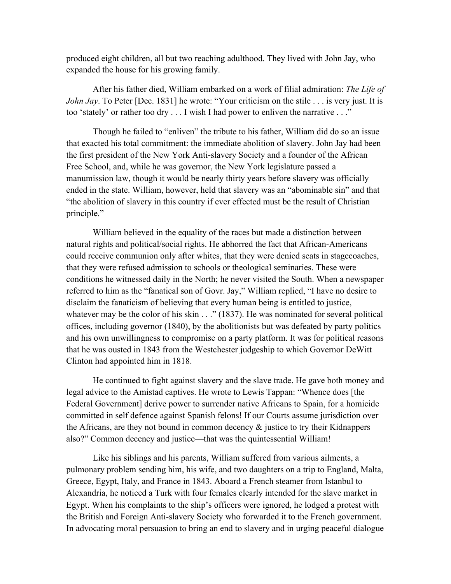produced eight children, all but two reaching adulthood. They lived with John Jay, who expanded the house for his growing family.

After his father died, William embarked on a work of filial admiration: *The Life of John Jay*. To Peter [Dec. 1831] he wrote: "Your criticism on the stile . . . is very just. It is too 'stately' or rather too dry . . . I wish I had power to enliven the narrative . . ."

Though he failed to "enliven" the tribute to his father, William did do so an issue that exacted his total commitment: the immediate abolition of slavery. John Jay had been the first president of the New York Anti-slavery Society and a founder of the African Free School, and, while he was governor, the New York legislature passed a manumission law, though it would be nearly thirty years before slavery was officially ended in the state. William, however, held that slavery was an "abominable sin" and that "the abolition of slavery in this country if ever effected must be the result of Christian principle."

William believed in the equality of the races but made a distinction between natural rights and political/social rights. He abhorred the fact that African-Americans could receive communion only after whites, that they were denied seats in stagecoaches, that they were refused admission to schools or theological seminaries. These were conditions he witnessed daily in the North; he never visited the South. When a newspaper referred to him as the "fanatical son of Govr. Jay," William replied, "I have no desire to disclaim the fanaticism of believing that every human being is entitled to justice, whatever may be the color of his skin . . ." (1837). He was nominated for several political offices, including governor (1840), by the abolitionists but was defeated by party politics and his own unwillingness to compromise on a party platform. It was for political reasons that he was ousted in 1843 from the Westchester judgeship to which Governor DeWitt Clinton had appointed him in 1818.

He continued to fight against slavery and the slave trade. He gave both money and legal advice to the Amistad captives. He wrote to Lewis Tappan: "Whence does [the Federal Government] derive power to surrender native Africans to Spain, for a homicide committed in self defence against Spanish felons! If our Courts assume jurisdiction over the Africans, are they not bound in common decency & justice to try their Kidnappers also?" Common decency and justice—that was the quintessential William!

Like his siblings and his parents, William suffered from various ailments, a pulmonary problem sending him, his wife, and two daughters on a trip to England, Malta, Greece, Egypt, Italy, and France in 1843. Aboard a French steamer from Istanbul to Alexandria, he noticed a Turk with four females clearly intended for the slave market in Egypt. When his complaints to the ship's officers were ignored, he lodged a protest with the British and Foreign Anti-slavery Society who forwarded it to the French government. In advocating moral persuasion to bring an end to slavery and in urging peaceful dialogue